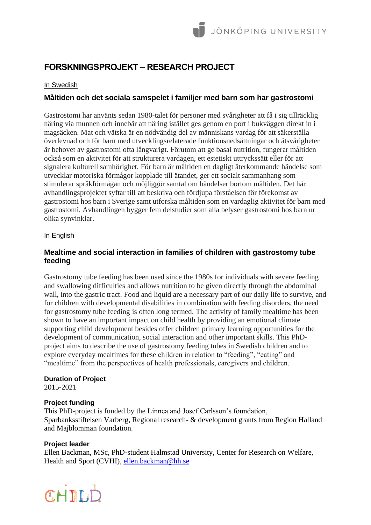# **FORSKNINGSPROJEKT – RESEARCH PROJECT**

## In Swedish

## **Måltiden och det sociala samspelet i familjer med barn som har gastrostomi**

Gastrostomi har använts sedan 1980-talet för personer med svårigheter att få i sig tillräcklig näring via munnen och innebär att näring istället ges genom en port i bukväggen direkt in i magsäcken. Mat och vätska är en nödvändig del av människans vardag för att säkerställa överlevnad och för barn med utvecklingsrelaterade funktionsnedsättningar och ätsvårigheter är behovet av gastrostomi ofta långvarigt. Förutom att ge basal nutrition, fungerar måltiden också som en aktivitet för att strukturera vardagen, ett estetiskt uttryckssätt eller för att signalera kulturell samhörighet. För barn är måltiden en dagligt återkommande händelse som utvecklar motoriska förmågor kopplade till ätandet, ger ett socialt sammanhang som stimulerar språkförmågan och möjliggör samtal om händelser bortom måltiden. Det här avhandlingsprojektet syftar till att beskriva och fördjupa förståelsen för förekomst av gastrostomi hos barn i Sverige samt utforska måltiden som en vardaglig aktivitet för barn med gastrostomi. Avhandlingen bygger fem delstudier som alla belyser gastrostomi hos barn ur olika synvinklar.

## In English

# **Mealtime and social interaction in families of children with gastrostomy tube feeding**

Gastrostomy tube feeding has been used since the 1980s for individuals with severe feeding and swallowing difficulties and allows nutrition to be given directly through the abdominal wall, into the gastric tract. Food and liquid are a necessary part of our daily life to survive, and for children with developmental disabilities in combination with feeding disorders, the need for gastrostomy tube feeding is often long termed. The activity of family mealtime has been shown to have an important impact on child health by providing an emotional climate supporting child development besides offer children primary learning opportunities for the development of communication, social interaction and other important skills. This PhDproject aims to describe the use of gastrostomy feeding tubes in Swedish children and to explore everyday mealtimes for these children in relation to "feeding", "eating" and "mealtime" from the perspectives of health professionals, caregivers and children.

## **Duration of Project**

2015-2021

## **Project funding**

This PhD-project is funded by the Linnea and Josef Carlsson's foundation, Sparbanksstiftelsen Varberg, Regional research- & development grants from Region Halland and Majblomman foundation.

## **Project leader**

Ellen Backman, MSc, PhD-student Halmstad University, Center for Research on Welfare, Health and Sport (CVHI), [ellen.backman@hh.se](mailto:ellen.backman@hh.se)